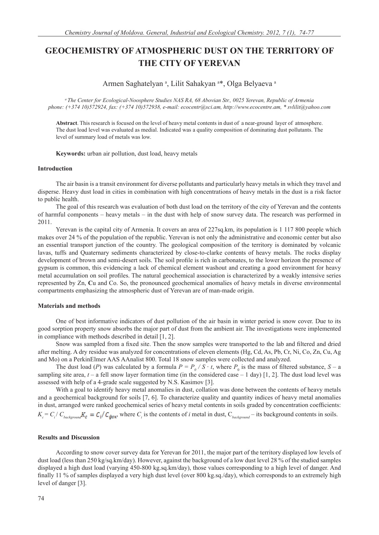# **GEOCHEMISTRY OF ATMOSPHERIC DUST ON THE TERRITORY OF THE CITY OF YEREVAN**

Armen Saghatelyan<sup>a</sup>, Lilit Sahakyan<sup>a\*</sup>, Olga Belyaeva<sup>a</sup>

*a The Center for Ecological-Noosphere Studies NAS RA, 68 Abovian Str., 0025 Yerevan, Republic of Armenia phone: (+374 10)572924, fax: (+374 10)572938, e-mail: ecocentr@sci.am, http://www.ecocentre.am, \* svlilit@yahoo.com*

**Abstract**. This research is focused on the level of heavy metal contents in dust of a near-ground layer of atmosphere. The dust load level was evaluated as medial. Indicated was a quality composition of dominating dust pollutants. The level of summary load of metals was low.

**Keywords:** urban air pollution, dust load, heavy metals

### **Introduction**

The air basin is a transit environment for diverse pollutants and particularly heavy metals in which they travel and disperse. Heavy dust load in cities in combination with high concentrations of heavy metals in the dust is a risk factor to public health.

The goal of this research was evaluation of both dust load on the territory of the city of Yerevan and the contents of harmful components – heavy metals – in the dust with help of snow survey data. The research was performed in 2011.

Yerevan is the capital city of Armenia. It covers an area of 227sq.km, its population is 1 117 800 people which makes over 24 % of the population of the republic. Yerevan is not only the administrative and economic center but also an essential transport junction of the country. The geological composition of the territory is dominated by volcanic lavas, tuffs and Quaternary sediments characterized by close-to-clarke contents of heavy metals. The rocks display development of brown and semi-desert soils. The soil profile is rich in carbonates, to the lower horizon the presence of gypsum is common, this evidencing a lack of chemical element washout and creating a good environment for heavy metal accumulation on soil profiles. The natural geochemical association is characterized by a weakly intensive series represented by Zn, **C**u and Co. So, the pronounced geochemical anomalies of heavy metals in diverse environmental compartments emphasizing the atmospheric dust of Yerevan are of man-made origin.

### **Materials and methods**

One of best informative indicators of dust pollution of the air basin in winter period is snow cover. Due to its good sorption property snow absorbs the major part of dust from the ambient air. The investigations were implemented in compliance with methods described in detail [1, 2].

Snow was sampled from a fixed site. Then the snow samples were transported to the lab and filtered and dried after melting. A dry residue was analyzed for concentrations of eleven elements (Hg, Cd, As, Pb, Cr, Ni, Co, Zn, Cu, Ag and Mo) on a PerkinElmer AAS AAnalist 800. Total 18 snow samples were collected and analyzed.

The dust load (*P*) was calculated by a formula  $P = P_0 / S \cdot t$ , where  $P_0$  is the mass of filtered substance,  $S - a$ sampling site area,  $t - a$  fell snow layer formation time (in the considered case  $- 1$  day) [1, 2]. The dust load level was assessed with help of a 4-grade scale suggested by N.S. Kasimov [3].

With a goal to identify heavy metal anomalies in dust, collation was done between the contents of heavy metals and a geochemical background for soils [7, 6]. To characterize quality and quantity indices of heavy metal anomalies in dust, arranged were ranked geochemical series of heavy metal contents in soils graded by concentration coefficients:  $K_c = C_i / C_{background}$ ,  $K_c = C_i / C_{\phi \circ \kappa}$ , where  $C_i$  is the contents of *i* metal in dust,  $C_{background}$  – its background contents in soils.

## **Results and Discussion**

According to snow cover survey data for Yerevan for 2011, the major part of the territory displayed low levels of dust load (less than 250 kg/sq.km/day). However, against the background of a low dust level 28 % of the studied samples displayed a high dust load (varying 450-800 kg.sq.km/day), those values corresponding to a high level of danger. And finally 11 % of samples displayed a very high dust level (over  $800 \text{ kg.sq}/\text{day}$ ), which corresponds to an extremely high level of danger [3].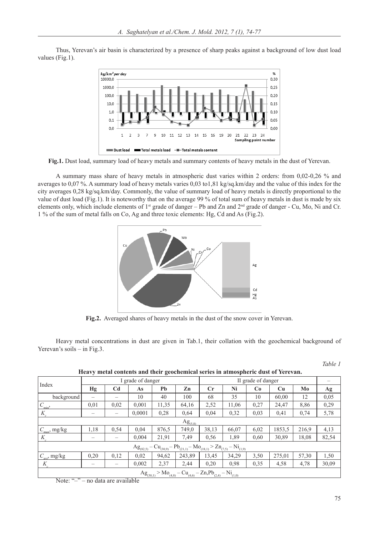Thus, Yerevan's air basin is characterized by a presence of sharp peaks against a background of low dust load values (Fig.1).



**Fig.1.** Dust load, summary load of heavy metals and summary contents of heavy metals in the dust of Yerevan.

A summary mass share of heavy metals in atmospheric dust varies within 2 orders: from 0,02-0,26 % and averages to 0,07 %. A summary load of heavy metals varies 0,03 to1,81 kg/sq.km/day and the value of this index for the city averages 0,28 kg/sq.km/day. Commonly, the value of summary load of heavy metals is directly proportional to the value of dust load (Fig.1). It is noteworthy that on the average 99 % of total sum of heavy metals in dust is made by six elements only, which include elements of  $1^{st}$  grade of danger – Pb and Zn and  $2^{nd}$  grade of danger - Cu, Mo, Ni and Cr. 1 % of the sum of metal falls on Co, Ag and three toxic elements: Hg, Cd and As (Fig.2).



**Fig.2.** Averaged shares of heavy metals in the dust of the snow cover in Yerevan.

Heavy metal concentrations in dust are given in Tab.1, their collation with the geochemical background of Yerevan's soils – in Fig.3.

| tiva ) mean contents and then geochemical series in atmospheric dust of ferevally                                        |                   |                   |        |       |        |                    |       |      |        |       |       |
|--------------------------------------------------------------------------------------------------------------------------|-------------------|-------------------|--------|-------|--------|--------------------|-------|------|--------|-------|-------|
| Index                                                                                                                    | I grade of danger |                   |        |       |        | II grade of danger |       |      |        |       |       |
|                                                                                                                          | Hg                | C <sub>d</sub>    | As     | Pb    | Zn     | $\mathbf{C}$ r     | Ni    | Co   | Cu     | Mo    | Ag    |
| background                                                                                                               |                   | -                 | 10     | 40    | 100    | 68                 | 35    | 10   | 60,00  | 12    | 0,05  |
| $C_{\rm min}$                                                                                                            | 0,01              | 0.02              | 0.001  | 11,35 | 64,16  | 2,52               | 11,06 | 0,27 | 24,47  | 8,86  | 0,29  |
| $K_c$                                                                                                                    |                   |                   | 0,0001 | 0.28  | 0.64   | 0,04               | 0,32  | 0,03 | 0,41   | 0.74  | 5,78  |
| $Ag_{(5,8)}$                                                                                                             |                   |                   |        |       |        |                    |       |      |        |       |       |
| $C_{\rm max}$ , mg/kg                                                                                                    | 1,18              | 0.54              | 0.04   | 876,5 | 749,0  | 38,13              | 66,07 | 6,02 | 1853,5 | 216.9 | 4,13  |
| $K_c$                                                                                                                    | -                 | $\qquad \qquad -$ | 0,004  | 21,91 | 7.49   | 0,56               | 1,89  | 0,60 | 30,89  | 18,08 | 82,54 |
| $-Cu_{(30,9)} - Pb_{(21,1)} - Mo_{(18,1)} > Zn_{(7,5)} - Ni_{(1,9)}$<br>$Ag_{(82,5)}$                                    |                   |                   |        |       |        |                    |       |      |        |       |       |
| $C_{\text{avr}}$ , mg/kg                                                                                                 | 0,20              | 0.12              | 0.02   | 94,62 | 243,89 | 13,45              | 34,29 | 3,50 | 275,01 | 57,30 | 1,50  |
| K                                                                                                                        |                   | -                 | 0,002  | 2,37  | 2,44   | 0,20               | 0,98  | 0,35 | 4,58   | 4,78  | 30,09 |
| $Ag_{(30,1)} > Mo_{(4,8)} - Cu_{(4,6)} - Zn, Pb_{(2,4)} - Ni_{(1,0)}$<br>71.11<br>(1, 2)<br>$\mathbf{1}$<br>$\mathbf{X}$ |                   |                   |        |       |        |                    |       |      |        |       |       |

 **Heavy metal contents and their geochemical series in atmospheric dust of Yerevan.**

Note: "-" – no data are available

*Table 1*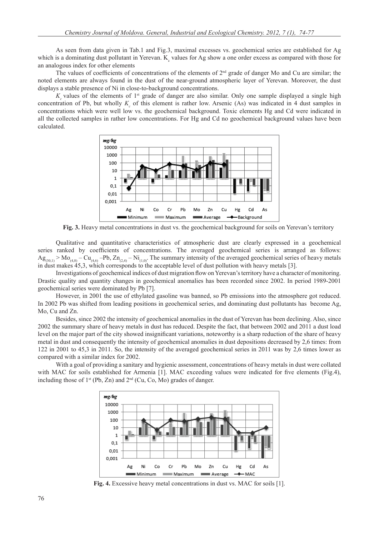As seen from data given in Tab.1 and Fig.3, maximal excesses vs. geochemical series are established for Ag which is a dominating dust pollutant in Yerevan.  $K_c$  values for Ag show a one order excess as compared with those for an analogous index for other elements

The values of coefficients of concentrations of the elements of  $2<sup>nd</sup>$  grade of danger Mo and Cu are similar; the noted elements are always found in the dust of the near-ground atmospheric layer of Yerevan. Moreover, the dust displays a stable presence of Ni in close-to-background concentrations.

 $K_c$  values of the elements of  $1^{st}$  grade of danger are also similar. Only one sample displayed a single high concentration of Pb, but wholly  $K_c$  of this element is rather low. Arsenic (As) was indicated in 4 dust samples in concentrations which were well low vs. the geochemical background. Toxic elements Hg and Cd were indicated in all the collected samples in rather low concentrations. For Hg and Cd no geochemical background values have been calculated.



**Fig. 3.** Heavy metal concentrations in dust vs. the geochemical background for soils on Yerevan's territory

Qualitative and quantitative characteristics of atmospheric dust are clearly expressed in a geochemical series ranked by coefficients of concentrations. The averaged geochemical series is arranged as follows:  $Ag_{(30,1)} > Mo_{(4,8)} - Cu_{(4,6)} - Pb$ ,  $Zn_{(2,4)} - Ni_{(1,0)}$ . The summary intensity of the averaged geochemical series of heavy metals in dust makes 45,3, which corresponds to the acceptable level of dust pollution with heavy metals [3].

Investigations of geochemical indices of dust migration flow on Yerevan's territory have a character of monitoring. Drastic quality and quantity changes in geochemical anomalies has been recorded since 2002. In period 1989-2001 geochemical series were dominated by Pb [7].

However, in 2001 the use of ethylated gasoline was banned, so Pb emissions into the atmosphere got reduced. In 2002 Pb was shifted from leading positions in geochemical series, and dominating dust pollutants has become Ag, Mo, Cu and Zn.

Besides, since 2002 the intensity of geochemical anomalies in the dust of Yerevan has been declining. Also, since 2002 the summary share of heavy metals in dust has reduced. Despite the fact, that between 2002 and 2011 a dust load level on the major part of the city showed insignificant variations, noteworthy is a sharp reduction of the share of heavy metal in dust and consequently the intensity of geochemical anomalies in dust depositions decreased by 2,6 times: from 122 in 2001 to 45,3 in 2011. So, the intensity of the averaged geochemical series in 2011 was by 2,6 times lower as compared with a similar index for 2002.

With a goal of providing a sanitary and hygienic assessment, concentrations of heavy metals in dust were collated with MAC for soils established for Armenia [1]. MAC exceeding values were indicated for five elements (Fig.4), including those of  $1^{st}$  (Pb, Zn) and  $2^{nd}$  (Cu, Co, Mo) grades of danger.



**Fig. 4.** Excessive heavy metal concentrations in dust vs. MAC for soils [1].